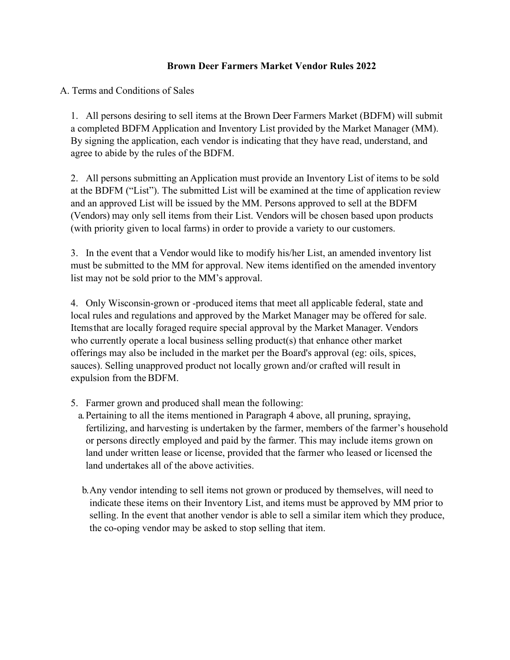### **Brown Deer Farmers Market Vendor Rules 2022**

A. Terms and Conditions of Sales

1. All persons desiring to sell items at the Brown Deer Farmers Market (BDFM) will submit a completed BDFM Application and Inventory List provided by the Market Manager (MM). By signing the application, each vendor is indicating that they have read, understand, and agree to abide by the rules of the BDFM.

2. All persons submitting an Application must provide an Inventory List of items to be sold at the BDFM ("List"). The submitted List will be examined at the time of application review and an approved List will be issued by the MM. Persons approved to sell at the BDFM (Vendors) may only sell items from their List. Vendors will be chosen based upon products (with priority given to local farms) in order to provide a variety to our customers.

3. In the event that a Vendor would like to modify his/her List, an amended inventory list must be submitted to the MM for approval. New items identified on the amended inventory list may not be sold prior to the MM's approval.

4. Only Wisconsin-grown or -produced items that meet all applicable federal, state and local rules and regulations and approved by the Market Manager may be offered for sale. Itemsthat are locally foraged require special approval by the Market Manager. Vendors who currently operate a local business selling product(s) that enhance other market offerings may also be included in the market per the Board's approval (eg: oils, spices, sauces). Selling unapproved product not locally grown and/or crafted will result in expulsion from the BDFM.

- 5. Farmer grown and produced shall mean the following:
	- a.Pertaining to all the items mentioned in Paragraph 4 above, all pruning, spraying, fertilizing, and harvesting is undertaken by the farmer, members of the farmer's household or persons directly employed and paid by the farmer. This may include items grown on land under written lease or license, provided that the farmer who leased or licensed the land undertakes all of the above activities.
	- b.Any vendor intending to sell items not grown or produced by themselves, will need to indicate these items on their Inventory List, and items must be approved by MM prior to selling. In the event that another vendor is able to sell a similar item which they produce, the co-oping vendor may be asked to stop selling that item.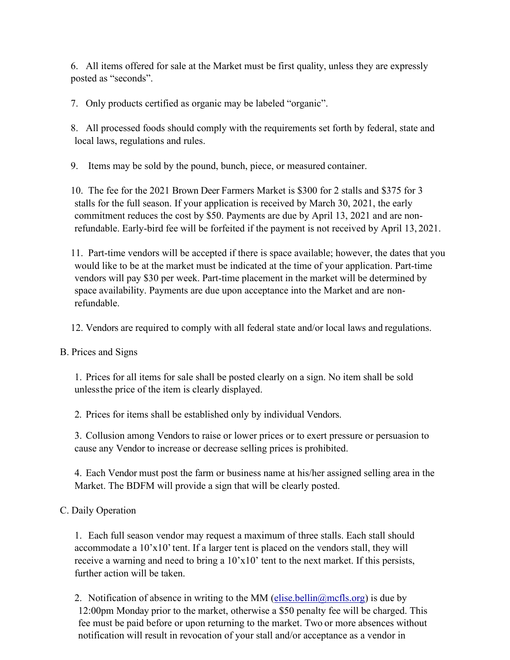6. All items offered for sale at the Market must be first quality, unless they are expressly posted as "seconds".

7. Only products certified as organic may be labeled "organic".

8. All processed foods should comply with the requirements set forth by federal, state and local laws, regulations and rules.

9. Items may be sold by the pound, bunch, piece, or measured container.

10. The fee for the 2021 Brown Deer Farmers Market is \$300 for 2 stalls and \$375 for 3 stalls for the full season. If your application is received by March 30, 2021, the early commitment reduces the cost by \$50. Payments are due by April 13, 2021 and are nonrefundable. Early-bird fee will be forfeited if the payment is not received by April 13, 2021.

11. Part-time vendors will be accepted if there is space available; however, the dates that you would like to be at the market must be indicated at the time of your application. Part-time vendors will pay \$30 per week. Part-time placement in the market will be determined by space availability. Payments are due upon acceptance into the Market and are nonrefundable.

12. Vendors are required to comply with all federal state and/or local laws and regulations.

B. Prices and Signs

1. Prices for all items for sale shall be posted clearly on a sign. No item shall be sold unlessthe price of the item is clearly displayed.

2. Prices for items shall be established only by individual Vendors.

3. Collusion among Vendors to raise or lower prices or to exert pressure or persuasion to cause any Vendor to increase or decrease selling prices is prohibited.

4. Each Vendor must post the farm or business name at his/her assigned selling area in the Market. The BDFM will provide a sign that will be clearly posted.

### C. Daily Operation

1. Each full season vendor may request a maximum of three stalls. Each stall should accommodate a  $10^{\circ}x10^{\circ}$  tent. If a larger tent is placed on the vendors stall, they will receive a warning and need to bring a 10'x10' tent to the next market. If this persists, further action will be taken.

2. Notification of absence in writing to the MM (elise.bellin $\omega$ mcfls.org) is due by 12:00pm Monday prior to the market, otherwise a \$50 penalty fee will be charged. This fee must be paid before or upon returning to the market. Two or more absences without notification will result in revocation of your stall and/or acceptance as a vendor in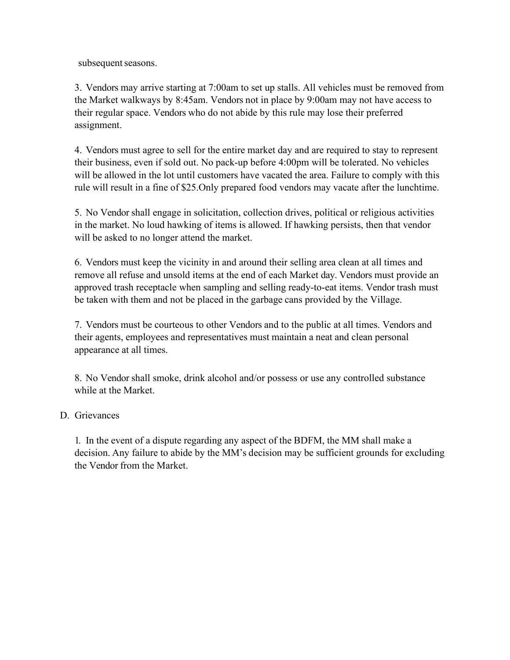subsequent seasons.

3. Vendors may arrive starting at 7:00am to set up stalls. All vehicles must be removed from the Market walkways by 8:45am. Vendors not in place by 9:00am may not have access to their regular space. Vendors who do not abide by this rule may lose their preferred assignment.

4. Vendors must agree to sell for the entire market day and are required to stay to represent their business, even if sold out. No pack-up before 4:00pm will be tolerated. No vehicles will be allowed in the lot until customers have vacated the area. Failure to comply with this rule will result in a fine of \$25.Only prepared food vendors may vacate after the lunchtime.

5. No Vendor shall engage in solicitation, collection drives, political or religious activities in the market. No loud hawking of items is allowed. If hawking persists, then that vendor will be asked to no longer attend the market.

6. Vendors must keep the vicinity in and around their selling area clean at all times and remove all refuse and unsold items at the end of each Market day. Vendors must provide an approved trash receptacle when sampling and selling ready-to-eat items. Vendor trash must be taken with them and not be placed in the garbage cans provided by the Village.

7. Vendors must be courteous to other Vendors and to the public at all times. Vendors and their agents, employees and representatives must maintain a neat and clean personal appearance at all times.

8. No Vendor shall smoke, drink alcohol and/or possess or use any controlled substance while at the Market.

#### D. Grievances

1. In the event of a dispute regarding any aspect of the BDFM, the MM shall make a decision. Any failure to abide by the MM's decision may be sufficient grounds for excluding the Vendor from the Market.